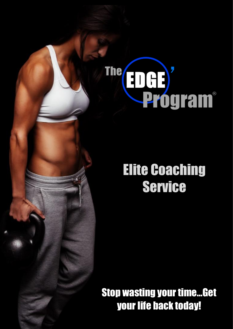# **EDED**<br>Program® The/

# Elite Coaching Service

Stop wasting your time…Get your life back today!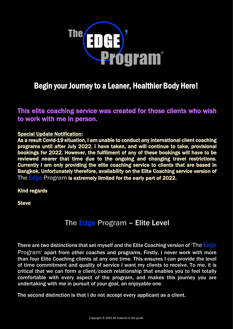

# Begin your Journey to a Leaner, Healthier Body Here!

### This elite coaching service was created for those clients who wish to work with me in person.

#### Special Update Notification:

As a result Covid-19 situation, I am unable to conduct any international client coaching programs until after July 2022. I have taken, and will continue to take, provisional bookings for 2022. However, the fulfilment of any of these bookings will have to be reviewed nearer that time due to the ongoing and changing travel restrictions. Currently I am only providing the elite coaching service to clients that are based in Bangkok. Unfortunately therefore, availability on the Elite Coaching service version of The **Edge Program is extremely limited for the early part of 2022.** 

#### Kind regards

**Steve** 

# The Edge Program – Elite Level

There are two distinctions that set myself and the Elite Coaching version of 'The Edge Program' apart from other coaches and programs. Firstly, I never work with more than four Elite Coaching clients at any one time. This ensures I can provide the level of time commitment and quality of service I want my clients to receive. To me, it is critical that we can form a client/coach relationship that enables you to feel totally comfortable with every aspect of the program, and makes this journey you are undertaking with me in pursuit of your goal, an enjoyable one.

The second distinction is that I do not accept every applicant as a client.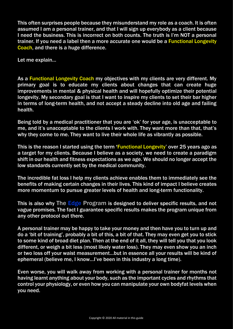This often surprises people because they misunderstand my role as a coach. It is often assumed I am a personal trainer, and that I will sign up everybody as a client because I need the business. This is incorrect on both counts. The truth is I'm NOT a personal trainer. If you need a label then a more accurate one would be a Functional Longevity Coach, and there is a huge difference.

Let me explain…

As a Functional Longevity Coach my objectives with my clients are very different. My primary goal is to educate my clients about changes that can create huge improvements in mental & physical health and will hopefully optimize their potential longevity. My secondary goal is that I want to inspire my clients to set their bar higher in terms of long-term health, and not accept a steady decline into old age and failing health.

Being told by a medical practitioner that you are 'ok' for your age, is unacceptable to me, and it's unacceptable to the clients I work with. They want more than that, that's why they come to me. They want to live their whole life as vibrantly as possible.

This is the reason I started using the term 'Functional Longevity' over 25 years ago as a target for my clients. Because I believe as a society, we need to create a paradigm shift in our health and fitness expectations as we age. We should no longer accept the low standards currently set by the medical community.

The incredible fat loss I help my clients achieve enables them to immediately see the benefits of making certain changes in their lives. This kind of impact I believe creates more momentum to pursue greater levels of health and long-term functionality.

This is also why The Edge Program is designed to deliver specific results, and not vague promises. The fact I guarantee specific results makes the program unique from any other protocol out there.

A personal trainer may be happy to take your money and then have you to turn up and do a 'bit of training', probably a bit of this, a bit of that. They may even get you to stick to some kind of broad diet plan. Then at the end of it all, they will tell you that you look different, or weigh a bit less (most likely water loss). They may even show you an inch or two loss off your waist measurement…but in essence all your results will be kind of ephemeral (believe me, I know…I've been in this industry a long time).

Even worse, you will walk away from working with a personal trainer for months not having learnt anything about your body, such as the important cycles and rhythms that control your physiology, or even how you can manipulate your own bodyfat levels when you need.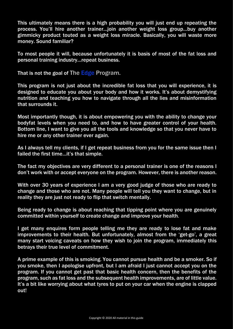This ultimately means there is a high probability you will just end up repeating the process. You'll hire another trainer…join another weight loss group…buy another gimmicky product touted as a weight loss miracle. Basically, you will waste more money. Sound familiar?

To most people it will, because unfortunately it is basis of most of the fat loss and personal training industry…repeat business.

That is not the goal of The Edge Program.

This program is not just about the incredible fat loss that you will experience, it is designed to educate you about your body and how it works. It's about demystifying nutrition and teaching you how to navigate through all the lies and misinformation that surrounds it.

Most importantly though, it is about empowering you with the ability to change your bodyfat levels when you need to, and how to have greater control of your health. Bottom line, I want to give you all the tools and knowledge so that you never have to hire me or any other trainer ever again.

As I always tell my clients, if I get repeat business from you for the same issue then I failed the first time…it's that simple.

The fact my objectives are very different to a personal trainer is one of the reasons I don't work with or accept everyone on the program. However, there is another reason.

With over 30 years of experience I am a very good judge of those who are ready to change and those who are not. Many people will tell you they want to change, but in reality they are just not ready to flip that switch mentally.

Being ready to change is about reaching that tipping point where you are genuinely committed within yourself to create change and improve your health.

I get many enquires form people telling me they are ready to lose fat and make improvements to their health. But unfortunately, almost from the 'get-go', a great many start voicing caveats on how they wish to join the program, immediately this betrays their true level of commitment.

A prime example of this is smoking. You cannot pursue health and be a smoker. So if you smoke, then I apologise upfront, but I am afraid I just cannot accept you on the program. If you cannot get past that basic health concern, then the benefits of the program, such as fat loss and the subsequent health improvements, are of little value. It's a bit like worrying about what tyres to put on your car when the engine is clapped out!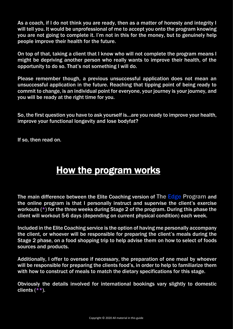As a coach, if I do not think you are ready, then as a matter of honesty and integrity I will tell you. It would be unprofessional of me to accept you onto the program knowing you are not going to complete it. I'm not in this for the money, but to genuinely help people improve their health for the future.

On top of that, taking a client that I know who will not complete the program means I might be depriving another person who really wants to improve their health, of the opportunity to do so. That's not something I will do.

Please remember though, a previous unsuccessful application does not mean an unsuccessful application in the future. Reaching that tipping point of being ready to commit to change, is an individual point for everyone, your journey is your journey, and you will be ready at the right time for you.

So, the first question you have to ask yourself is…are you ready to improve your health, improve your functional longevity and lose bodyfat?

If so, then read on.

# How the program works

The main difference between the Elite Coaching version of The Edge Program and the online program is that I personally instruct and supervise the client's exercise workouts (\*) for the three weeks during Stage 2 of the program. During this phase the client will workout 5-6 days (depending on current physical condition) each week.

Included in the Elite Coaching service is the option of having me personally accompany the client, or whoever will be responsible for preparing the client's meals during the Stage 2 phase, on a food shopping trip to help advise them on how to select of foods sources and products.

Additionally, I offer to oversee if necessary, the preparation of one meal by whoever will be responsible for preparing the clients food's, in order to help to familiarize them with how to construct of meals to match the dietary specifications for this stage.

Obviously the details involved for international bookings vary slightly to domestic clients  $(**)$ .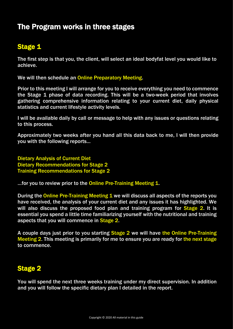# The Program works in three stages

# Stage 1

The first step is that you, the client, will select an ideal bodyfat level you would like to achieve.

We will then schedule an Online Preparatory Meeting.

Prior to this meeting I will arrange for you to receive everything you need to commence the Stage 1 phase of data recording. This will be a two-week period that involves gathering comprehensive information relating to your current diet, daily physical statistics and current lifestyle activity levels.

I will be available daily by call or message to help with any issues or questions relating to this process.

Approximately two weeks after you hand all this data back to me, I will then provide you with the following reports...

Dietary Analysis of Current Diet Dietary Recommendations for Stage 2 Training Recommendations for Stage 2

... for you to review prior to the Online Pre-Training Meeting 1.

During the Online Pre-Training Meeting 1 we will discuss all aspects of the reports you have received, the analysis of your current diet and any issues it has highlighted. We will also discuss the proposed food plan and training program for Stage 2. It is essential you spend a little time familiarizing yourself with the nutritional and training aspects that you will commence in Stage 2.

A couple days just prior to you starting Stage 2 we will have the Online Pre-Training Meeting 2. This meeting is primarily for me to ensure you are ready for the next stage to commence.

# Stage 2

You will spend the next three weeks training under my direct supervision. In addition and you will follow the specific dietary plan I detailed in the report.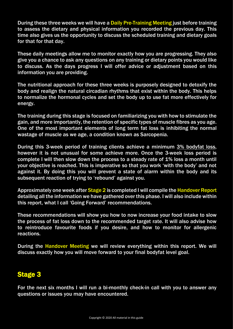During these three weeks we will have a Daily Pre-Training Meeting just before training to assess the dietary and physical information you recorded the previous day. This time also gives us the opportunity to discuss the scheduled training and dietary goals for that for that day.

These daily meetings allow me to monitor exactly how you are progressing. They also give you a chance to ask any questions on any training or dietary points you would like to discuss. As the days progress I will offer advice or adjustment based on this information you are providing.

The nutritional approach for these three weeks is purposely designed to detoxify the body and realign the natural circadian rhythms that exist within the body. This helps to normalize the hormonal cycles and set the body up to use fat more effectively for energy.

The training during this stage is focused on familiarizing you with how to stimulate the gain, and more importantly, the retention of specific types of muscle fibres as you age. One of the most important elements of long term fat loss is inhibiting the normal wastage of muscle as we age, a condition known as Sarcopenia.

During this 3-week period of training clients achieve a minimum 3% bodyfat loss, however it is not unusual for some achieve more. Once the 3-week loss period is complete I will then slow down the process to a steady rate of 1% loss a month until your objective is reached. This is imperative so that you work 'with the body' and not against it. By doing this you will prevent a state of alarm within the body and its subsequent reaction of trying to 'rebound' against you.

Approximately one week after Stage 2 is completed I will compile the Handover Report detailing all the information we have gathered over this phase. I will also include within this report, what I call 'Going Forward' recommendations.

These recommendations will show you how to now increase your food intake to slow the process of fat loss down to the recommended target rate. It will also advise how to reintroduce favourite foods if you desire, and how to monitor for allergenic reactions.

During the Handover Meeting we will review everything within this report. We will discuss exactly how you will move forward to your final bodyfat level goal.

# Stage 3

For the next six months I will run a bi-monthly check-in call with you to answer any questions or issues you may have encountered.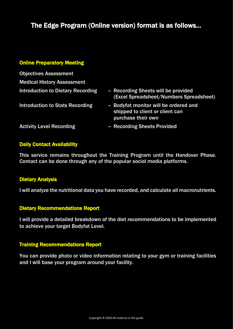# The Edge Program (Online version) format is as follows…

#### Online Preparatory Meeting

| <b>Objectives Assessment</b>             |                                                                                                |
|------------------------------------------|------------------------------------------------------------------------------------------------|
| <b>Medical History Assessment</b>        |                                                                                                |
| <b>Introduction to Dietary Recording</b> | - Recording Sheets will be provided<br>(Excel Spreadsheet/Numbers Spreadsheet)                 |
| <b>Introduction to Stats Recording</b>   | - Bodyfat monitor will be ordered and<br>shipped to client or client can<br>purchase their own |
| <b>Activity Level Recording</b>          | - Recording Sheets Provided                                                                    |
|                                          |                                                                                                |

#### Daily Contact Availability

This service remains throughout the Training Program until the Handover Phase. Contact can be done through any of the popular social media platforms.

#### Dietary Analysis

I will analyze the nutritional data you have recorded, and calculate all macronutrients.

#### Dietary Recommendations Report

I will provide a detailed breakdown of the diet recommendations to be implemented to achieve your target Bodyfat Level.

#### Training Recommendations Report

You can provide photo or video information relating to your gym or training facilities and I will base your program around your facility.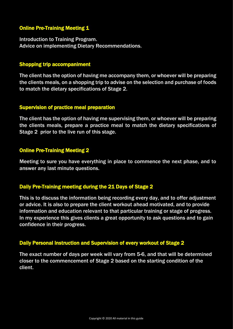#### **Online Pre-Training Meeting 1**

Introduction to Training Program. Advice on implementing Dietary Recommendations.

#### Shopping trip accompaniment

The client has the option of having me accompany them, or whoever will be preparing the clients meals, on a shopping trip to advise on the selection and purchase of foods to match the dietary specifications of Stage 2.

#### Supervision of practice meal preparation

The client has the option of having me supervising them, or whoever will be preparing the clients meals, prepare a practice meal to match the dietary specifications of Stage 2 prior to the live run of this stage.

#### Online Pre-Training Meeting 2

Meeting to sure you have everything in place to commence the next phase, and to answer any last minute questions.

#### Daily Pre-Training meeting during the 21 Days of Stage 2

This is to discuss the information being recording every day, and to offer adjustment or advice. It is also to prepare the client workout ahead motivated, and to provide information and education relevant to that particular training or stage of progress. In my experience this gives clients a great opportunity to ask questions and to gain confidence in their progress.

#### Daily Personal Instruction and Supervision of every workout of Stage 2

The exact number of days per week will vary from 5-6, and that will be determined closer to the commencement of Stage 2 based on the starting condition of the client.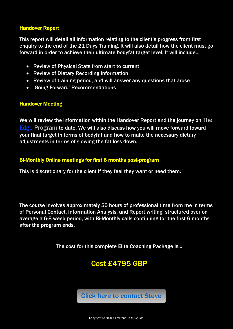#### Handover Report

This report will detail all information relating to the client's progress from first enquiry to the end of the 21 Days Training. It will also detail how the client must go forward in order to achieve their ultimate bodyfat target level. It will include…

- Review of Physical Stats from start to current
- Review of Dietary Recording information
- Review of training period, and will answer any questions that arose
- 'Going Forward' Recommendations

#### Handover Meeting

We will review the information within the Handover Report and the journey on The Edge Program to date. We will also discuss how you will move forward toward your final target in terms of bodyfat and how to make the necessary dietary adjustments in terms of slowing the fat loss down.

#### Bi-Monthly Online meetings for first 6 months post-program

This is discretionary for the client if they feel they want or need them.

The course involves approximately 55 hours of professional time from me in terms of Personal Contact, Information Analysis, and Report writing, structured over on average a 6-8 week period, with Bi-Monthly calls continuing for the first 6 months after the program ends.

The cost for this complete Elite Coaching Package is…

# Cost £4795 GBP

[Click here to contact Steve](https://www.stephenoreilly.com/contact)